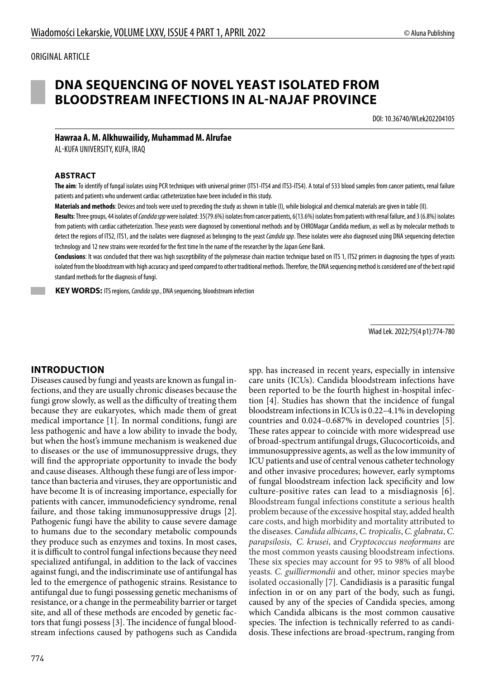# **DNA SEQUENCING OF NOVEL YEAST ISOLATED FROM BLOODSTREAM INFECTIONS IN AL-NAJAF PROVINCE**

DOI: 10.36740/WLek202204105

# **Hawraa A. M. Alkhuwailidy, Muhammad M. Alrufae**

AL-KUFA UNIVERSITY, KUFA, IRAQ

#### **ABSTRACT**

**The aim**: To identify of fungal isolates using PCR techniques with universal primer (ITS1-ITS4 and ITS3-ITS4). A total of 533 blood samples from cancer patients, renal failure patients and patients who underwent cardiac catheterization have been included in this study.

**Materials and methods**: Devices and tools were used to preceding the study as shown in table (I), while biological and chemical materials are given in table (II).

**Results**: Three groups, 44 isolates of *Candida spp* were isolated: 35(79.6%) isolates from cancer patients, 6(13.6%) isolates from patients with renal failure, and 3 (6.8%) isolates from patients with cardiac catheterization. These yeasts were diagnosed by conventional methods and by CHROMagar Candida medium, as well as by molecular methods to detect the regions of ITS2, ITS1, and the isolates were diagnosed as belonging to the yeast *Candida spp*. These isolates were also diagnosed using DNA sequencing detection technology and 12 new strains were recorded for the first time In the name of the researcher by the Japan Gene Bank.

Conclusions: It was concluded that there was high susceptibility of the polymerase chain reaction technique based on ITS 1, ITS2 primers in diagnosing the types of yeasts isolated from the bloodstream with high accuracy and speed compared to other traditional methods. Therefore, the DNA sequencing method is considered one of the best rapid standard methods for the diagnosis of fungi.

 **KEY WORDS:** ITS regions, *Candida spp.*, DNA sequencing, bloodstream infection

Wiad Lek. 2022;75(4 p1):774-780

### **INTRODUCTION**

Diseases caused by fungi and yeasts are known as fungal infections, and they are usually chronic diseases because the fungi grow slowly, as well as the difficulty of treating them because they are eukaryotes, which made them of great medical importance [1]. In normal conditions, fungi are less pathogenic and have a low ability to invade the body, but when the host's immune mechanism is weakened due to diseases or the use of immunosuppressive drugs, they will find the appropriate opportunity to invade the body and cause diseases. Although these fungi are of less importance than bacteria and viruses, they are opportunistic and have become It is of increasing importance, especially for patients with cancer, immunodeficiency syndrome, renal failure, and those taking immunosuppressive drugs [2]. Pathogenic fungi have the ability to cause severe damage to humans due to the secondary metabolic compounds they produce such as enzymes and toxins. In most cases, it is difficult to control fungal infections because they need specialized antifungal, in addition to the lack of vaccines against fungi, and the indiscriminate use of antifungal has led to the emergence of pathogenic strains. Resistance to antifungal due to fungi possessing genetic mechanisms of resistance, or a change in the permeability barrier or target site, and all of these methods are encoded by genetic factors that fungi possess [3]. The incidence of fungal bloodstream infections caused by pathogens such as Candida

spp. has increased in recent years, especially in intensive care units (ICUs). Candida bloodstream infections have been reported to be the fourth highest in-hospital infection [4]. Studies has shown that the incidence of fungal bloodstream infections in ICUs is 0.22–4.1% in developing countries and 0.024–0.687% in developed countries [5]. These rates appear to coincide with more widespread use of broad-spectrum antifungal drugs, Glucocorticoids, and immunosuppressive agents, as well as the low immunity of ICU patients and use of central venous catheter technology and other invasive procedures; however, early symptoms of fungal bloodstream infection lack specificity and low culture-positive rates can lead to a misdiagnosis [6]. Bloodstream fungal infections constitute a serious health problem because of the excessive hospital stay, added health care costs, and high morbidity and mortality attributed to the diseases. *Candida albicans*, *C. tropicalis*, *C. glabrata*, *C. parapsilosis*, *C. krusei*, and *Cryptococcus neoformans* are the most common yeasts causing bloodstream infections. These six species may account for 95 to 98% of all blood yeasts. *C. guilliermondii* and other, minor species maybe isolated occasionally [7]. Candidiasis is a parasitic fungal infection in or on any part of the body, such as fungi, caused by any of the species of Candida species, among which Candida albicans is the most common causative species. The infection is technically referred to as candidosis. These infections are broad-spectrum, ranging from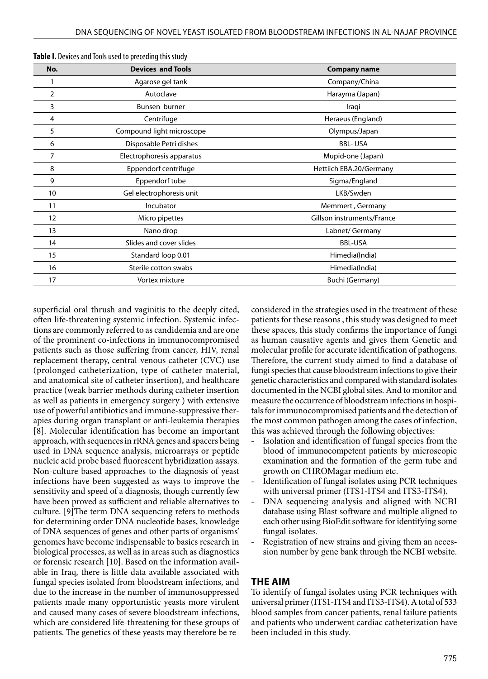| No. | <b>Devices and Tools</b>  | <b>Company name</b>        |
|-----|---------------------------|----------------------------|
|     | Agarose gel tank          | Company/China              |
| 2   | Autoclave                 | Harayma (Japan)            |
| 3   | Bunsen burner             | Iraqi                      |
| 4   | Centrifuge                | Heraeus (England)          |
| 5   | Compound light microscope | Olympus/Japan              |
| 6   | Disposable Petri dishes   | <b>BBL-USA</b>             |
| 7   | Electrophoresis apparatus | Mupid-one (Japan)          |
| 8   | Eppendorf centrifuge      | Hettiich EBA.20/Germany    |
| 9   | Eppendorf tube            | Sigma/England              |
| 10  | Gel electrophoresis unit  | LKB/Swden                  |
| 11  | Incubator                 | Memmert, Germany           |
| 12  | Micro pipettes            | Gillson instruments/France |
| 13  | Nano drop                 | Labnet/ Germany            |
| 14  | Slides and cover slides   | <b>BBL-USA</b>             |
| 15  | Standard loop 0.01        | Himedia(India)             |
| 16  | Sterile cotton swabs      | Himedia(India)             |
| 17  | Vortex mixture            | Buchi (Germany)            |
|     |                           |                            |

**Table I.** Devices and Tools used to preceding this study

superficial oral thrush and vaginitis to the deeply cited, often life-threatening systemic infection. Systemic infections are commonly referred to as candidemia and are one of the prominent co-infections in immunocompromised patients such as those suffering from cancer, HIV, renal replacement therapy, central-venous catheter (CVC) use (prolonged catheterization, type of catheter material, and anatomical site of catheter insertion), and healthcare practice (weak barrier methods during catheter insertion as well as patients in emergency surgery ) with extensive use of powerful antibiotics and immune-suppressive therapies during organ transplant or anti-leukemia therapies [8]. Molecular identification has become an important approach, with sequences in rRNA genes and spacers being used in DNA sequence analysis, microarrays or peptide nucleic acid probe based fluorescent hybridization assays. Non-culture based approaches to the diagnosis of yeast infections have been suggested as ways to improve the sensitivity and speed of a diagnosis, though currently few have been proved as sufficient and reliable alternatives to culture. [9]The term DNA sequencing refers to methods for determining order DNA nucleotide bases, knowledge of DNA sequences of genes and other parts of organisms' genomes have become indispensable to basics research in biological processes, as well as in areas such as diagnostics or forensic research [10]. Based on the information available in Iraq, there is little data available associated with fungal species isolated from bloodstream infections, and due to the increase in the number of immunosuppressed patients made many opportunistic yeasts more virulent and caused many cases of severe bloodstream infections, which are considered life-threatening for these groups of patients. The genetics of these yeasts may therefore be re-

considered in the strategies used in the treatment of these patients for these reasons , this study was designed to meet these spaces, this study confirms the importance of fungi as human causative agents and gives them Genetic and molecular profile for accurate identification of pathogens. Therefore, the current study aimed to find a database of fungi species that cause bloodstream infections to give their genetic characteristics and compared with standard isolates documented in the NCBI global sites. And to monitor and measure the occurrence of bloodstream infections in hospitals for immunocompromised patients and the detection of the most common pathogen among the cases of infection, this was achieved through the following objectives:

- Isolation and identification of fungal species from the blood of immunocompetent patients by microscopic examination and the formation of the germ tube and growth on CHROMagar medium etc.
- Identification of fungal isolates using PCR techniques with universal primer (ITS1-ITS4 and ITS3-ITS4).
- DNA sequencing analysis and aligned with NCBI database using Blast software and multiple aligned to each other using BioEdit software for identifying some fungal isolates.
- Registration of new strains and giving them an accession number by gene bank through the NCBI website.

#### **THE AIM**

To identify of fungal isolates using PCR techniques with universal primer (ITS1-ITS4 and ITS3-ITS4). A total of 533 blood samples from cancer patients, renal failure patients and patients who underwent cardiac catheterization have been included in this study.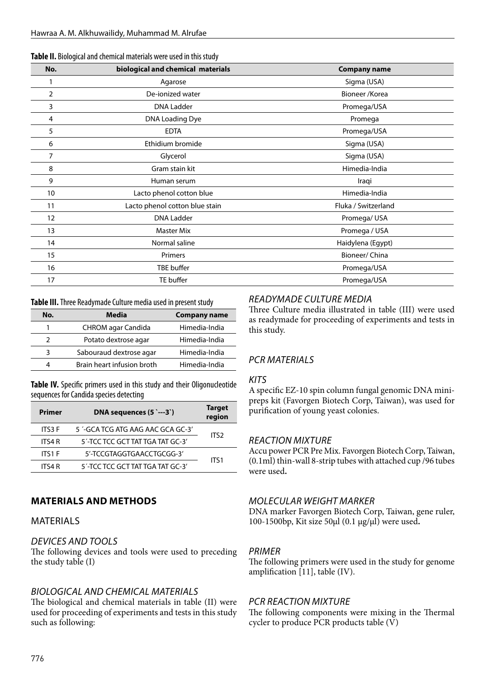| Table II. Biological and chemical materials were used in this study |  |
|---------------------------------------------------------------------|--|
|---------------------------------------------------------------------|--|

| No. | biological and chemical materials | <b>Company name</b> |
|-----|-----------------------------------|---------------------|
|     | Agarose                           | Sigma (USA)         |
| 2   | De-ionized water                  | Bioneer / Korea     |
| 3   | <b>DNA Ladder</b>                 | Promega/USA         |
| 4   | DNA Loading Dye                   | Promega             |
| 5   | <b>EDTA</b>                       | Promega/USA         |
| 6   | Ethidium bromide                  | Sigma (USA)         |
| 7   | Glycerol                          | Sigma (USA)         |
| 8   | Gram stain kit                    | Himedia-India       |
| 9   | Human serum                       | Iraqi               |
| 10  | Lacto phenol cotton blue          | Himedia-India       |
| 11  | Lacto phenol cotton blue stain    | Fluka / Switzerland |
| 12  | <b>DNA Ladder</b>                 | Promega/USA         |
| 13  | <b>Master Mix</b>                 | Promega / USA       |
| 14  | Normal saline                     | Haidylena (Egypt)   |
| 15  | Primers                           | Bioneer/ China      |
| 16  | TBE buffer                        | Promega/USA         |
| 17  | TE buffer                         | Promega/USA         |

| Table III. Three Readymade Culture media used in present study |  |  |
|----------------------------------------------------------------|--|--|
|----------------------------------------------------------------|--|--|

| No. | Media                      | <b>Company name</b> |
|-----|----------------------------|---------------------|
|     | CHROM agar Candida         | Himedia-India       |
| າ   | Potato dextrose agar       | Himedia-India       |
| ર   | Sabouraud dextrose agar    | Himedia-India       |
| 4   | Brain heart infusion broth | Himedia-India       |

**Table IV.** Specific primers used in this study and their Oligonucleotide sequences for Candida species detecting

| Primer        | DNA sequences $(5 \rightarrow -3)$ | <b>Target</b><br>region |
|---------------|------------------------------------|-------------------------|
| <b>ITS3 F</b> | 5 '-GCA TCG ATG AAG AAC GCA GC-3'  | ITS <sub>2</sub>        |
| ITS4 R        | 5'-TCC TCC GCT TAT TGA TAT GC-3'   |                         |
| <b>ITS1 F</b> | 5'-TCCGTAGGTGAACCTGCGG-3'          | ITS1                    |
| ITS4 R        | 5'-TCC TCC GCT TAT TGA TAT GC-3'   |                         |

### **MATERIALS AND METHODS**

### MATERIALS

### *DEVICES AND TOOLS*

The following devices and tools were used to preceding the study table (I)

### *BIOLOGICAL AND CHEMICAL MATERIALS*

The biological and chemical materials in table (II) were used for proceeding of experiments and tests in this study such as following:

### *READYMADE CULTURE MEDIA*

Three Culture media illustrated in table (III) were used as readymade for proceeding of experiments and tests in this study.

# *PCR MATERIALS*

#### *KITS*

A specific EZ-10 spin column fungal genomic DNA minipreps kit (Favorgen Biotech Corp, Taiwan), was used for purification of young yeast colonies.

### *REACTION MIXTURE*

Accu power PCR Pre Mix. Favorgen Biotech Corp, Taiwan, (0.1ml) thin-wall 8-strip tubes with attached cup /96 tubes were used**.**

### *MOLECULAR WEIGHT MARKER*

DNA marker Favorgen Biotech Corp, Taiwan, gene ruler, 100-1500bp, Kit size 50µl (0.1 µg/µl) were used**.**

### *PRIMER*

The following primers were used in the study for genome amplification [11], table (IV).

### *PCR REACTION MIXTURE*

The following components were mixing in the Thermal cycler to produce PCR products table (V)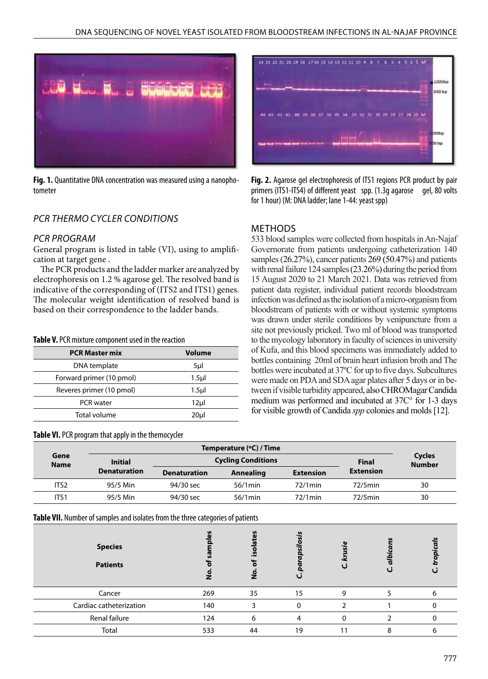

**Fig. 1.** Quantitative DNA concentration was measured using a nanophotometer

# *PCR THERMO CYCLER CONDITIONS*

#### *PCR PROGRAM*

General program is listed in table (VI), using to amplification at target gene .

The PCR products and the ladder marker are analyzed by electrophoresis on 1.2 % agarose gel. The resolved band is indicative of the corresponding of (ITS2 and ITS1) genes. The molecular weight identification of resolved band is based on their correspondence to the ladder bands.

#### **Table V.** PCR mixture component used in the reaction

| <b>PCR Master mix</b>    | <b>Volume</b>    |
|--------------------------|------------------|
| DNA template             | 5µl              |
| Forward primer (10 pmol) | 1.5 <sub>µ</sub> |
| Reveres primer (10 pmol) | $1.5$ µl         |
| <b>PCR</b> water         | 12µl             |
| Total volume             | 20ul             |

#### **Table VI.** PCR program that apply in the themocycler



**Fig. 2.** Agarose gel electrophoresis of ITS1 regions PCR product by pair primers (ITS1-ITS4) of different yeast spp. (1.3q agarose gel, 80 volts for 1 hour) (M: DNA ladder; lane 1-44: yeast spp)

#### METHODS

533 blood samples were collected from hospitals in An-Najaf Governorate from patients undergoing catheterization 140 samples (26.27%), cancer patients 269 (50.47%) and patients with renal failure 124 samples (23.26%) during the period from 15 August 2020 to 21 March 2021. Data was retrieved from patient data register, individual patient records bloodstream infection was defined as the isolation of a micro-organism from bloodstream of patients with or without systemic symptoms was drawn under sterile conditions by venipuncture from a site not previously pricked. Two ml of blood was transported to the mycology laboratory in faculty of sciences in university of Kufa, and this blood specimens was immediately added to bottles containing 20ml of brain heart infusion broth and The bottles were incubated at 37ºC for up to five days. Subcultures were made on PDA and SDA agar plates after 5 days or in between if visible turbidity appeared, also CHROMagar Candida medium was performed and incubated at 37C° for 1-3 days for visible growth of Candida *spp* colonies and molds [12].

| Gene<br><b>Name</b> | Temperature (°C) / Time |                           |            |                  |                  |                                |
|---------------------|-------------------------|---------------------------|------------|------------------|------------------|--------------------------------|
|                     | <b>Initial</b>          | <b>Cycling Conditions</b> |            |                  |                  | <b>Cycles</b><br><b>Number</b> |
|                     | <b>Denaturation</b>     | <b>Denaturation</b>       | Annealing  | <b>Extension</b> | <b>Extension</b> |                                |
| ITS <sub>2</sub>    | 95/5 Min                | 94/30 sec                 | $56/1$ min | $72/1$ min       | $72/5$ min       | 30                             |
| ITS <sub>1</sub>    | 95/5 Min                | 94/30 sec                 | $56/1$ min | $72/1$ min       | $72/5$ min       | 30                             |

**Table VII.** Number of samples and isolates from the three categories of patients

| <b>Species</b><br><b>Patients</b> |     | n<br>$\mathbf{u}$<br>$\circ$<br>Ż | n            |   |  |
|-----------------------------------|-----|-----------------------------------|--------------|---|--|
| Cancer                            | 269 | 35                                | 15           | 9 |  |
| Cardiac catheterization           | 140 | ર                                 | <sup>0</sup> |   |  |
| Renal failure                     | 124 | 6                                 |              | ŋ |  |
| Total                             | 533 | 44                                | 19           |   |  |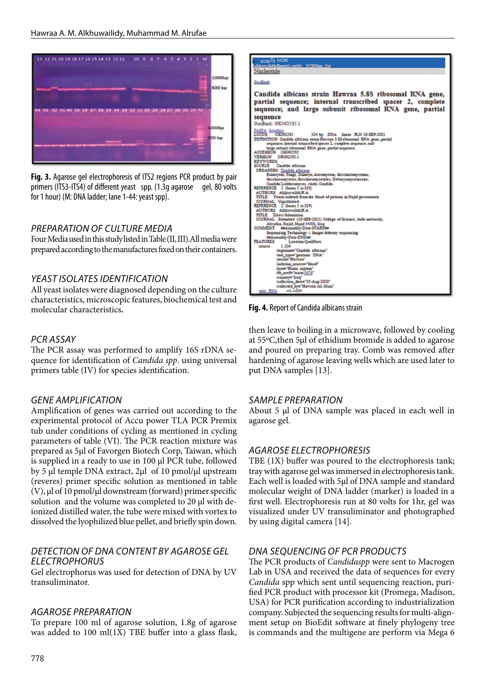

**Fig. 3.** Agarose gel electrophoresis of ITS2 regions PCR product by pair primers (ITS3-ITS4) of different yeast spp. (1.3g agarose gel, 80 volts for 1 hour) (M: DNA ladder; lane 1-44: yeast spp).

# *PREPARATION OF CULTURE MEDIA*

Four Media used in this study listed in Table (II, III).All media were prepared according to the manufactures fixed on their containers.

# *YEAST ISOLATES IDENTIFICATION*

All yeast isolates were diagnosed depending on the culture characteristics, microscopic features, biochemical test and molecular characteristics**.**

### *PCR ASSAY*

The PCR assay was performed to amplify 16S rDNA sequence for identification of *Candida spp*. using universal primers table (IV) for species identification.

# *GENE AMPLIFICATION*

Amplification of genes was carried out according to the experimental protocol of Accu power TLA PCR Premix tub under conditions of cycling as mentioned in cycling parameters of table (VI). The PCR reaction mixture was prepared as 5µl of Favorgen Biotech Corp, Taiwan, which is supplied in a ready to use in 100 µl PCR tube, followed by 5 µl temple DNA extract, 2µl of 10 pmol/µl upstream (reveres) primer specific solution as mentioned in table (V), µl of 10 pmol/µl downstream (forward) primer specific solution and the volume was completed to 20 µl with deionized distilled water, the tube were mixed with vortex to dissolved the lyophilized blue pellet, and briefly spin down.

### *DETECTION OF DNA CONTENT BY AGAROSE GEL ELECTROPHORUS*

Gel electrophorus was used for detection of DNA by UV transuliminator.

### *AGAROSE PREPARATION*

To prepare 100 ml of agarose solution, 1.8g of agarose was added to 100 ml(1X) TBE buffer into a glass flask,



**Fig. 4.** Report of Candida albicans strain

then leave to boiling in a microwave, followed by cooling at 55ºC,then 5µl of ethidium bromide is added to agarose and poured on preparing tray. Comb was removed after hardening of agarose leaving wells which are used later to put DNA samples [13].

### *SAMPLE PREPARATION*

About 5 µl of DNA sample was placed in each well in agarose gel.

### *AGAROSE ELECTROPHORESIS*

TBE (1X) buffer was poured to the electrophoresis tank; tray with agarose gel was immersed in electrophoresis tank. Each well is loaded with 5µl of DNA sample and standard molecular weight of DNA ladder (marker) is loaded in a first well. Electrophoresis run at 80 volts for 1hr, gel was visualized under UV transuliminator and photographed by using digital camera [14].

# *DNA SEQUENCING OF PCR PRODUCTS*

The PCR products of *Candidaspp* were sent to Macrogen Lab in USA and received the data of sequences for every *Candida* spp which sent until sequencing reaction, purified PCR product with processor kit (Promega, Madison, USA) for PCR purification according to industrialization company. Subjected the sequencing results for multi-alignment setup on BioEdit software at finely phylogeny tree is commands and the multigene are perform via Mega 6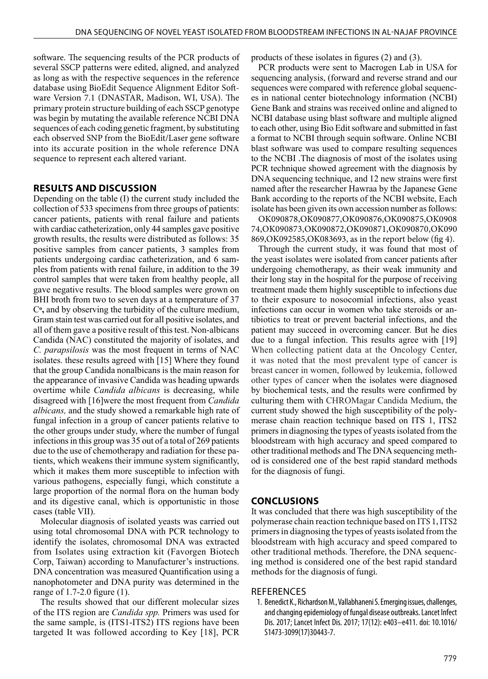software. The sequencing results of the PCR products of several SSCP patterns were edited, aligned, and analyzed as long as with the respective sequences in the reference database using BioEdit Sequence Alignment Editor Software Version 7.1 (DNASTAR, Madison, WI, USA). The primary protein structure building of each SSCP genotype was begin by mutating the available reference NCBI DNA sequences of each coding genetic fragment, by substituting each observed SNP from the BioEdit/Laser gene software into its accurate position in the whole reference DNA sequence to represent each altered variant.

#### **RESULTS AND DISCUSSION**

Depending on the table (I) the current study included the collection of 533 specimens from three groups of patients: cancer patients, patients with renal failure and patients with cardiac catheterization, only 44 samples gave positive growth results, the results were distributed as follows: 35 positive samples from cancer patients, 3 samples from patients undergoing cardiac catheterization, and 6 samples from patients with renal failure, in addition to the 39 control samples that were taken from healthy people, all gave negative results. The blood samples were grown on BHI broth from two to seven days at a temperature of 37 C**ͦ,** and by observing the turbidity of the culture medium, Gram stain test was carried out for all positive isolates, and all of them gave a positive result of this test. Non-albicans Candida (NAC) constituted the majority of isolates, and *C. parapsilosis* was the most frequent in terms of NAC isolates. these results agreed with [15] Where they found that the group Candida nonalbicans is the main reason for the appearance of invasive Candida was heading upwards overtime while *Candida albicans* is decreasing, while disagreed with [16]were the most frequent from *Candida albicans,* and the study showed a remarkable high rate of fungal infection in a group of cancer patients relative to the other groups under study, where the number of fungal infections in this group was 35 out of a total of 269 patients due to the use of chemotherapy and radiation for these patients, which weakens their immune system significantly, which it makes them more susceptible to infection with various pathogens, especially fungi, which constitute a large proportion of the normal flora on the human body and its digestive canal, which is opportunistic in those cases (table VII).

Molecular diagnosis of isolated yeasts was carried out using total chromosomal DNA with PCR technology to identify the isolates, chromosomal DNA was extracted from Isolates using extraction kit (Favorgen Biotech Corp, Taiwan) according to Manufacturer's instructions. DNA concentration was measured Quantification using a nanophotometer and DNA purity was determined in the range of 1.7-2.0 figure (1).

The results showed that our different molecular sizes of the ITS region are *Candida spp.* Primers was used for the same sample, is (ITS1-ITS2) ITS regions have been targeted It was followed according to Key [18], PCR products of these isolates in figures (2) and (3).

PCR products were sent to Macrogen Lab in USA for sequencing analysis, (forward and reverse strand and our sequences were compared with reference global sequences in national center biotechnology information (NCBI) Gene Bank and strains was received online and aligned to NCBI database using blast software and multiple aligned to each other, using Bio Edit software and submitted in fast a format to NCBI through sequin software. Online NCBI blast software was used to compare resulting sequences to the NCBI .The diagnosis of most of the isolates using PCR technique showed agreement with the diagnosis by DNA sequencing technique, and 12 new strains were first named after the researcher Hawraa by the Japanese Gene Bank according to the reports of the NCBI website, Each isolate has been given its own accession number as follows:

OK090878,OK090877,OK090876,OK090875,OK0908 74,OK090873,OK090872,OK090871,OK090870,OK090 869,OK092585,OK083693, as in the report below (fig 4).

Through the current study, it was found that most of the yeast isolates were isolated from cancer patients after undergoing chemotherapy, as their weak immunity and their long stay in the hospital for the purpose of receiving treatment made them highly susceptible to infections due to their exposure to nosocomial infections, also yeast infections can occur in women who take steroids or antibiotics to treat or prevent bacterial infections, and the patient may succeed in overcoming cancer. But he dies due to a fungal infection. This results agree with [19] When collecting patient data at the Oncology Center, it was noted that the most prevalent type of cancer is breast cancer in women, followed by leukemia, followed other types of cancer when the isolates were diagnosed by biochemical tests, and the results were confirmed by culturing them with CHROMagar Candida Medium, the current study showed the high susceptibility of the polymerase chain reaction technique based on ITS 1, ITS2 primers in diagnosing the types of yeasts isolated from the bloodstream with high accuracy and speed compared to other traditional methods and The DNA sequencing method is considered one of the best rapid standard methods for the diagnosis of fungi.

#### **CONCLUSIONS**

It was concluded that there was high susceptibility of the polymerase chain reaction technique based on ITS 1, ITS2 primers in diagnosing the types of yeasts isolated from the bloodstream with high accuracy and speed compared to other traditional methods. Therefore, the DNA sequencing method is considered one of the best rapid standard methods for the diagnosis of fungi.

#### **REFERENCES**

1. Benedict K., Richardson M., Vallabhaneni S. Emerging issues, challenges, and changing epidemiology of fungal disease outbreaks. Lancet Infect Dis. 2017; Lancet Infect Dis. 2017; 17(12): e403–e411. doi: 10.1016/ S1473-3099(17)30443-7.